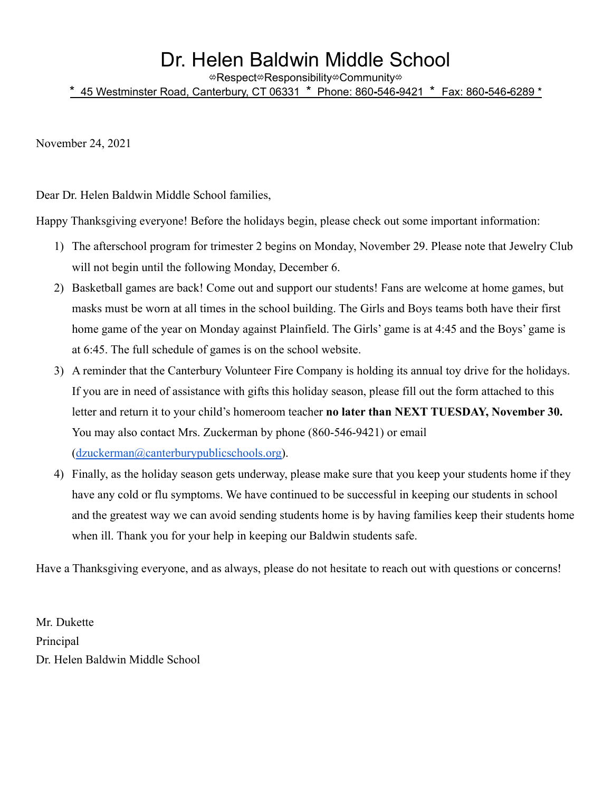## Dr. Helen Baldwin Middle School

⇎Respect⇎Responsibility⇎Community⇎

\* 45 Westminster Road, Canterbury, CT 06331 \* Phone: 860**-**546**-**9421 \* Fax: 860**-**546**-**6289 \*

November 24, 2021

Dear Dr. Helen Baldwin Middle School families,

Happy Thanksgiving everyone! Before the holidays begin, please check out some important information:

- 1) The afterschool program for trimester 2 begins on Monday, November 29. Please note that Jewelry Club will not begin until the following Monday, December 6.
- 2) Basketball games are back! Come out and support our students! Fans are welcome at home games, but masks must be worn at all times in the school building. The Girls and Boys teams both have their first home game of the year on Monday against Plainfield. The Girls' game is at 4:45 and the Boys' game is at 6:45. The full schedule of games is on the school website.
- 3) A reminder that the Canterbury Volunteer Fire Company is holding its annual toy drive for the holidays. If you are in need of assistance with gifts this holiday season, please fill out the form attached to this letter and return it to your child's homeroom teacher **no later than NEXT TUESDAY, November 30.** You may also contact Mrs. Zuckerman by phone (860-546-9421) or email ([dzuckerman@canterburypublicschools.org\)](mailto:dzuckerman@canterburypublicschools.org).
- 4) Finally, as the holiday season gets underway, please make sure that you keep your students home if they have any cold or flu symptoms. We have continued to be successful in keeping our students in school and the greatest way we can avoid sending students home is by having families keep their students home when ill. Thank you for your help in keeping our Baldwin students safe.

Have a Thanksgiving everyone, and as always, please do not hesitate to reach out with questions or concerns!

Mr. Dukette Principal Dr. Helen Baldwin Middle School